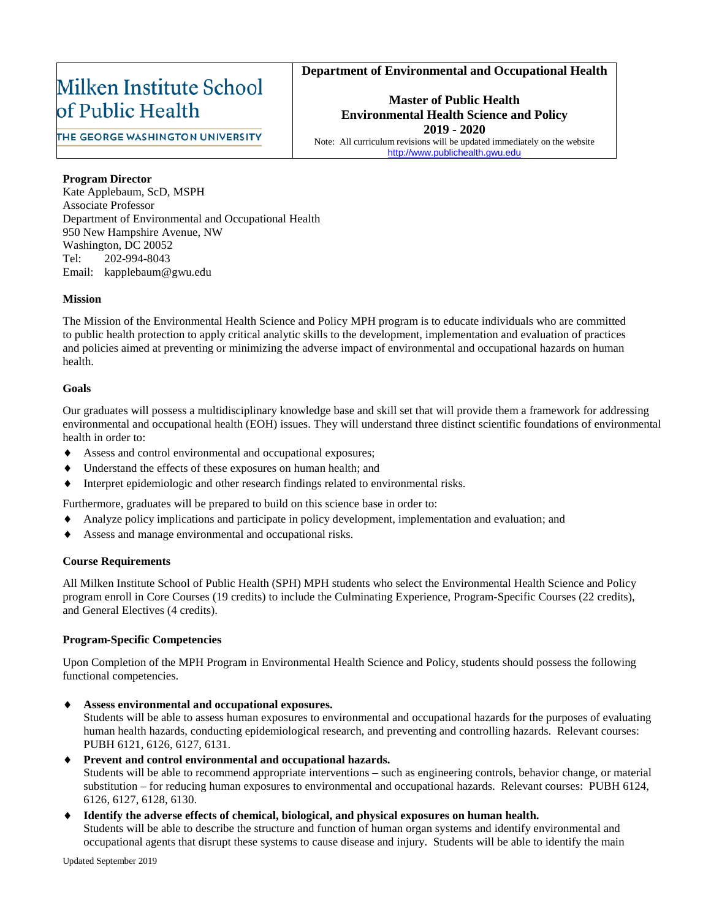### **Department of Environmental and Occupational Health**

## Milken Institute School of Public Health

**Master of Public Health Environmental Health Science and Policy 2019 - 2020** Note: All curriculum revisions will be updated immediately on the website

THE GEORGE WASHINGTON UNIVERSITY

http://www.publichealth.gwu

### **Program Director**

Kate Applebaum, ScD, MSPH Associate Professor Department of Environmental and Occupational Health 950 New Hampshire Avenue, NW Washington, DC 20052 Tel: 202-994-8043 Email: kapplebaum@gwu.edu

### **Mission**

The Mission of the Environmental Health Science and Policy MPH program is to educate individuals who are committed to public health protection to apply critical analytic skills to the development, implementation and evaluation of practices and policies aimed at preventing or minimizing the adverse impact of environmental and occupational hazards on human health.

### **Goals**

Our graduates will possess a multidisciplinary knowledge base and skill set that will provide them a framework for addressing environmental and occupational health (EOH) issues. They will understand three distinct scientific foundations of environmental health in order to:

- Assess and control environmental and occupational exposures;
- Understand the effects of these exposures on human health; and
- Interpret epidemiologic and other research findings related to environmental risks.

Furthermore, graduates will be prepared to build on this science base in order to:

- Analyze policy implications and participate in policy development, implementation and evaluation; and
- Assess and manage environmental and occupational risks.

### **Course Requirements**

All Milken Institute School of Public Health (SPH) MPH students who select the Environmental Health Science and Policy program enroll in Core Courses (19 credits) to include the Culminating Experience, Program-Specific Courses (22 credits), and General Electives (4 credits).

### **Program-Specific Competencies**

Upon Completion of the MPH Program in Environmental Health Science and Policy, students should possess the following functional competencies.

♦ **Assess environmental and occupational exposures.**

Students will be able to assess human exposures to environmental and occupational hazards for the purposes of evaluating human health hazards, conducting epidemiological research, and preventing and controlling hazards. Relevant courses: PUBH 6121, 6126, 6127, 6131.

### ♦ **Prevent and control environmental and occupational hazards.**

Students will be able to recommend appropriate interventions – such as engineering controls, behavior change, or material substitution – for reducing human exposures to environmental and occupational hazards. Relevant courses: PUBH 6124, 6126, 6127, 6128, 6130.

♦ **Identify the adverse effects of chemical, biological, and physical exposures on human health.** 

Students will be able to describe the structure and function of human organ systems and identify environmental and occupational agents that disrupt these systems to cause disease and injury. Students will be able to identify the main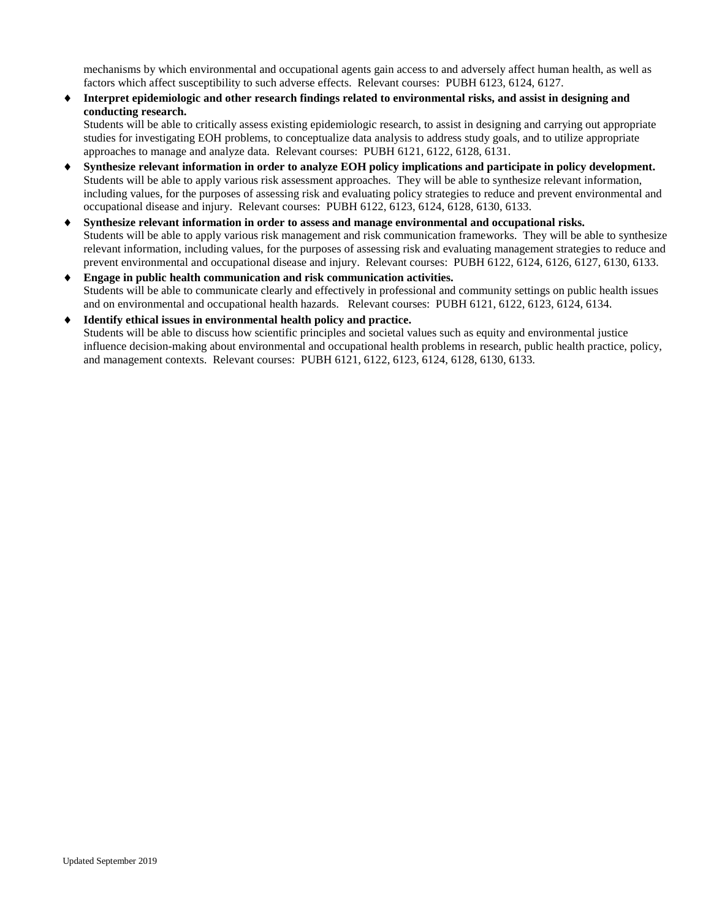mechanisms by which environmental and occupational agents gain access to and adversely affect human health, as well as factors which affect susceptibility to such adverse effects. Relevant courses: PUBH 6123, 6124, 6127.

♦ **Interpret epidemiologic and other research findings related to environmental risks, and assist in designing and conducting research.**

Students will be able to critically assess existing epidemiologic research, to assist in designing and carrying out appropriate studies for investigating EOH problems, to conceptualize data analysis to address study goals, and to utilize appropriate approaches to manage and analyze data. Relevant courses: PUBH 6121, 6122, 6128, 6131.

- Synthesize relevant information in order to analyze EOH policy implications and participate in policy development. Students will be able to apply various risk assessment approaches. They will be able to synthesize relevant information, including values, for the purposes of assessing risk and evaluating policy strategies to reduce and prevent environmental and occupational disease and injury. Relevant courses: PUBH 6122, 6123, 6124, 6128, 6130, 6133.
- Synthesize relevant information in order to assess and manage environmental and occupational risks. Students will be able to apply various risk management and risk communication frameworks. They will be able to synthesize relevant information, including values, for the purposes of assessing risk and evaluating management strategies to reduce and prevent environmental and occupational disease and injury. Relevant courses: PUBH 6122, 6124, 6126, 6127, 6130, 6133.
- ♦ **Engage in public health communication and risk communication activities.**  Students will be able to communicate clearly and effectively in professional and community settings on public health issues and on environmental and occupational health hazards. Relevant courses: PUBH 6121, 6122, 6123, 6124, 6134.
- ♦ **Identify ethical issues in environmental health policy and practice.** Students will be able to discuss how scientific principles and societal values such as equity and environmental justice influence decision-making about environmental and occupational health problems in research, public health practice, policy, and management contexts. Relevant courses: PUBH 6121, 6122, 6123, 6124, 6128, 6130, 6133.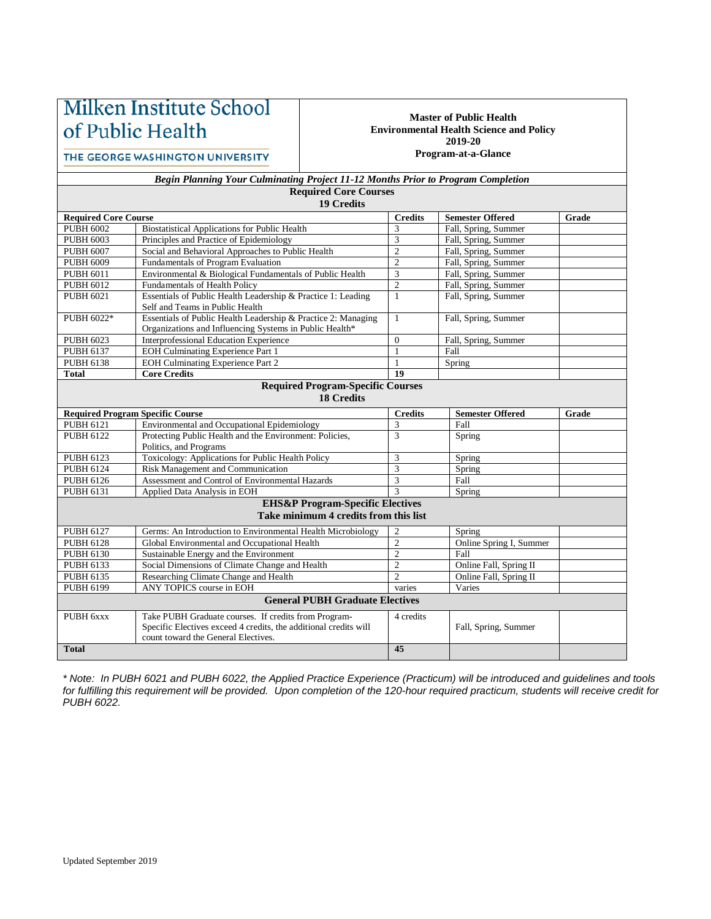# Milken Institute School of Public Health

### THE GEORGE WASHINGTON UNIVERSITY

#### **Master of Public Health Environmental Health Science and Policy 2019-20 Program-at-a-Glance**

| <b>Begin Planning Your Culminating Project 11-12 Months Prior to Program Completion</b> |  |
|-----------------------------------------------------------------------------------------|--|
| <b>Required Core Courses</b>                                                            |  |

| <b>19 Credits</b>                                                                    |                                                                                                                                                                 |                |                         |       |  |  |
|--------------------------------------------------------------------------------------|-----------------------------------------------------------------------------------------------------------------------------------------------------------------|----------------|-------------------------|-------|--|--|
| <b>Required Core Course</b>                                                          |                                                                                                                                                                 | <b>Credits</b> | <b>Semester Offered</b> | Grade |  |  |
| <b>PUBH 6002</b>                                                                     | <b>Biostatistical Applications for Public Health</b>                                                                                                            | 3              | Fall, Spring, Summer    |       |  |  |
| <b>PUBH 6003</b>                                                                     | Principles and Practice of Epidemiology                                                                                                                         | 3              | Fall, Spring, Summer    |       |  |  |
| <b>PUBH 6007</b>                                                                     | Social and Behavioral Approaches to Public Health                                                                                                               | $\overline{c}$ | Fall, Spring, Summer    |       |  |  |
| <b>PUBH 6009</b>                                                                     | <b>Fundamentals of Program Evaluation</b>                                                                                                                       | $\overline{c}$ | Fall, Spring, Summer    |       |  |  |
| PUBH 6011                                                                            | Environmental & Biological Fundamentals of Public Health                                                                                                        | 3              | Fall, Spring, Summer    |       |  |  |
| PUBH 6012                                                                            | Fundamentals of Health Policy                                                                                                                                   | $\overline{c}$ | Fall, Spring, Summer    |       |  |  |
| <b>PUBH 6021</b>                                                                     | Essentials of Public Health Leadership & Practice 1: Leading<br>Self and Teams in Public Health                                                                 | $\mathbf{1}$   | Fall, Spring, Summer    |       |  |  |
| PUBH 6022*                                                                           | Essentials of Public Health Leadership & Practice 2: Managing<br>Organizations and Influencing Systems in Public Health*                                        | $\mathbf{1}$   | Fall, Spring, Summer    |       |  |  |
| <b>PUBH 6023</b>                                                                     | Interprofessional Education Experience                                                                                                                          | $\Omega$       | Fall, Spring, Summer    |       |  |  |
| PUBH 6137                                                                            | <b>EOH Culminating Experience Part 1</b>                                                                                                                        | $\mathbf{1}$   | Fall                    |       |  |  |
| PUBH 6138                                                                            | EOH Culminating Experience Part 2                                                                                                                               | $\mathbf{1}$   | Spring                  |       |  |  |
| <b>Total</b>                                                                         | <b>Core Credits</b>                                                                                                                                             | 19             |                         |       |  |  |
| <b>Required Program-Specific Courses</b><br><b>18 Credits</b>                        |                                                                                                                                                                 |                |                         |       |  |  |
| <b>Required Program Specific Course</b>                                              |                                                                                                                                                                 | <b>Credits</b> | <b>Semester Offered</b> | Grade |  |  |
| PUBH 6121                                                                            | Environmental and Occupational Epidemiology                                                                                                                     | 3              | Fall                    |       |  |  |
| PUBH 6122                                                                            | Protecting Public Health and the Environment: Policies,<br>Politics, and Programs                                                                               | 3              | Spring                  |       |  |  |
| PUBH 6123                                                                            | Toxicology: Applications for Public Health Policy                                                                                                               | 3              | Spring                  |       |  |  |
| PUBH 6124                                                                            | Risk Management and Communication                                                                                                                               | 3              | Spring                  |       |  |  |
| PUBH 6126                                                                            | Assessment and Control of Environmental Hazards                                                                                                                 | 3              | Fall                    |       |  |  |
| PUBH 6131                                                                            | Applied Data Analysis in EOH                                                                                                                                    | $\mathcal{R}$  | Spring                  |       |  |  |
| <b>EHS&amp;P Program-Specific Electives</b><br>Take minimum 4 credits from this list |                                                                                                                                                                 |                |                         |       |  |  |
| PUBH 6127                                                                            | Germs: An Introduction to Environmental Health Microbiology                                                                                                     | $\mathbf{2}$   | Spring                  |       |  |  |
| PUBH 6128                                                                            | Global Environmental and Occupational Health                                                                                                                    | $\overline{2}$ | Online Spring I, Summer |       |  |  |
| PUBH 6130                                                                            | Sustainable Energy and the Environment                                                                                                                          | $\overline{2}$ | Fall                    |       |  |  |
| PUBH 6133                                                                            | Social Dimensions of Climate Change and Health                                                                                                                  | $\overline{c}$ | Online Fall, Spring II  |       |  |  |
| PUBH 6135                                                                            | Researching Climate Change and Health                                                                                                                           | $\overline{2}$ | Online Fall, Spring II  |       |  |  |
| PUBH 6199                                                                            | ANY TOPICS course in EOH                                                                                                                                        | varies         | Varies                  |       |  |  |
| <b>General PUBH Graduate Electives</b>                                               |                                                                                                                                                                 |                |                         |       |  |  |
| PUBH 6xxx                                                                            | Take PUBH Graduate courses. If credits from Program-<br>Specific Electives exceed 4 credits, the additional credits will<br>count toward the General Electives. | 4 credits      | Fall, Spring, Summer    |       |  |  |
| <b>Total</b>                                                                         |                                                                                                                                                                 | 45             |                         |       |  |  |

*\* Note: In PUBH 6021 and PUBH 6022, the Applied Practice Experience (Practicum) will be introduced and guidelines and tools for fulfilling this requirement will be provided. Upon completion of the 120-hour required practicum, students will receive credit for PUBH 6022.*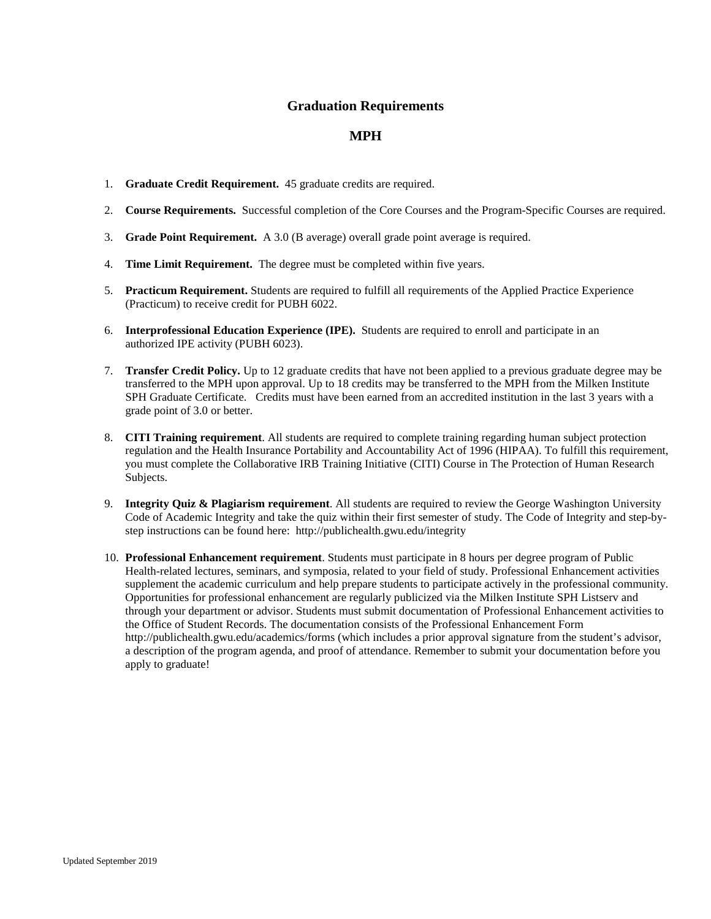## **Graduation Requirements**

## **MPH**

- 1. **Graduate Credit Requirement.** 45 graduate credits are required.
- 2. **Course Requirements.** Successful completion of the Core Courses and the Program-Specific Courses are required.
- 3. **Grade Point Requirement.** A 3.0 (B average) overall grade point average is required.
- 4. **Time Limit Requirement.** The degree must be completed within five years.
- 5. **Practicum Requirement.** Students are required to fulfill all requirements of the Applied Practice Experience (Practicum) to receive credit for PUBH 6022.
- 6. **Interprofessional Education Experience (IPE).** Students are required to enroll and participate in an authorized IPE activity (PUBH 6023).
- 7. **Transfer Credit Policy.** Up to 12 graduate credits that have not been applied to a previous graduate degree may be transferred to the MPH upon approval. Up to 18 credits may be transferred to the MPH from the Milken Institute SPH Graduate Certificate. Credits must have been earned from an accredited institution in the last 3 years with a grade point of 3.0 or better.
- 8. **CITI Training requirement**. All students are required to complete training regarding human subject protection regulation and the Health Insurance Portability and Accountability Act of 1996 (HIPAA). To fulfill this requirement, you must complete the Collaborative IRB Training Initiative (CITI) Course in The Protection of Human Research Subjects.
- 9. **Integrity Quiz & Plagiarism requirement**. All students are required to review the George Washington University Code of Academic Integrity and take the quiz within their first semester of study. The Code of Integrity and step-bystep instructions can be found here: http://publichealth.gwu.edu/integrity
- 10. **Professional Enhancement requirement**. Students must participate in 8 hours per degree program of Public Health-related lectures, seminars, and symposia, related to your field of study. Professional Enhancement activities supplement the academic curriculum and help prepare students to participate actively in the professional community. Opportunities for professional enhancement are regularly publicized via the Milken Institute SPH Listserv and through your department or advisor. Students must submit documentation of Professional Enhancement activities to the Office of Student Records. The documentation consists of the Professional Enhancement Form http://publichealth.gwu.edu/academics/forms (which includes a prior approval signature from the student's advisor, a description of the program agenda, and proof of attendance. Remember to submit your documentation before you apply to graduate!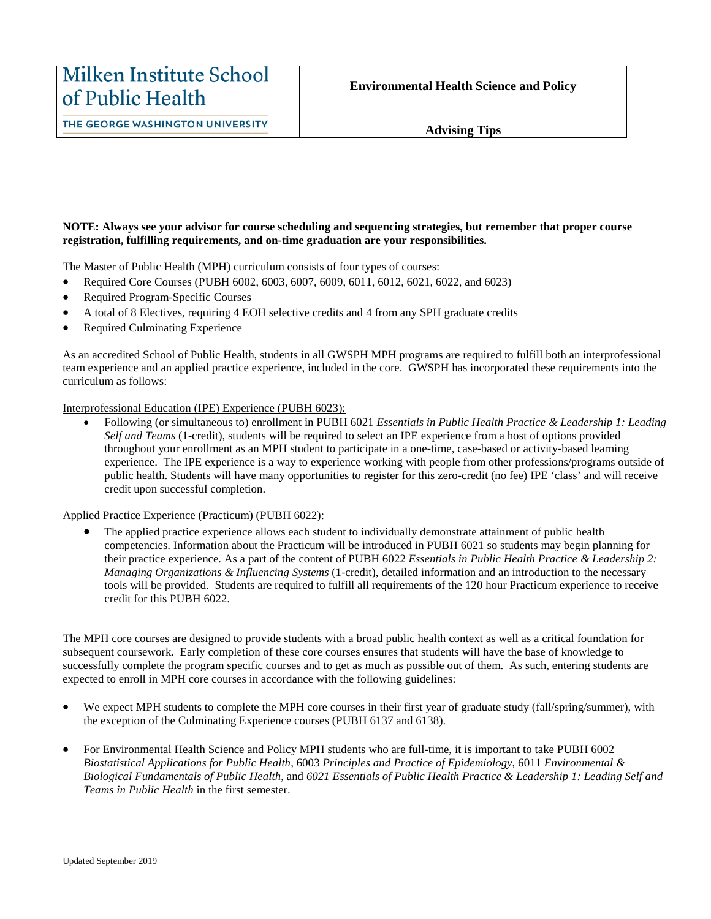THE GEORGE WASHINGTON UNIVERSITY

### **NOTE: Always see your advisor for course scheduling and sequencing strategies, but remember that proper course registration, fulfilling requirements, and on-time graduation are your responsibilities.**

The Master of Public Health (MPH) curriculum consists of four types of courses:

- Required Core Courses (PUBH 6002, 6003, 6007, 6009, 6011, 6012, 6021, 6022, and 6023)
- Required Program-Specific Courses
- A total of 8 Electives, requiring 4 EOH selective credits and 4 from any SPH graduate credits
- Required Culminating Experience

As an accredited School of Public Health, students in all GWSPH MPH programs are required to fulfill both an interprofessional team experience and an applied practice experience, included in the core. GWSPH has incorporated these requirements into the curriculum as follows:

Interprofessional Education (IPE) Experience (PUBH 6023):

• Following (or simultaneous to) enrollment in PUBH 6021 *Essentials in Public Health Practice & Leadership 1: Leading Self and Teams* (1-credit), students will be required to select an IPE experience from a host of options provided throughout your enrollment as an MPH student to participate in a one-time, case-based or activity-based learning experience. The IPE experience is a way to experience working with people from other professions/programs outside of public health. Students will have many opportunities to register for this zero-credit (no fee) IPE 'class' and will receive credit upon successful completion.

Applied Practice Experience (Practicum) (PUBH 6022):

• The applied practice experience allows each student to individually demonstrate attainment of public health competencies. Information about the Practicum will be introduced in PUBH 6021 so students may begin planning for their practice experience. As a part of the content of PUBH 6022 *Essentials in Public Health Practice & Leadership 2: Managing Organizations & Influencing Systems* (1-credit), detailed information and an introduction to the necessary tools will be provided. Students are required to fulfill all requirements of the 120 hour Practicum experience to receive credit for this PUBH 6022.

The MPH core courses are designed to provide students with a broad public health context as well as a critical foundation for subsequent coursework. Early completion of these core courses ensures that students will have the base of knowledge to successfully complete the program specific courses and to get as much as possible out of them. As such, entering students are expected to enroll in MPH core courses in accordance with the following guidelines:

- We expect MPH students to complete the MPH core courses in their first year of graduate study (fall/spring/summer), with the exception of the Culminating Experience courses (PUBH 6137 and 6138).
- For Environmental Health Science and Policy MPH students who are full-time, it is important to take PUBH 6002 *Biostatistical Applications for Public Health*, 6003 *Principles and Practice of Epidemiology*, 6011 *Environmental & Biological Fundamentals of Public Health,* and *6021 Essentials of Public Health Practice & Leadership 1: Leading Self and Teams in Public Health* in the first semester.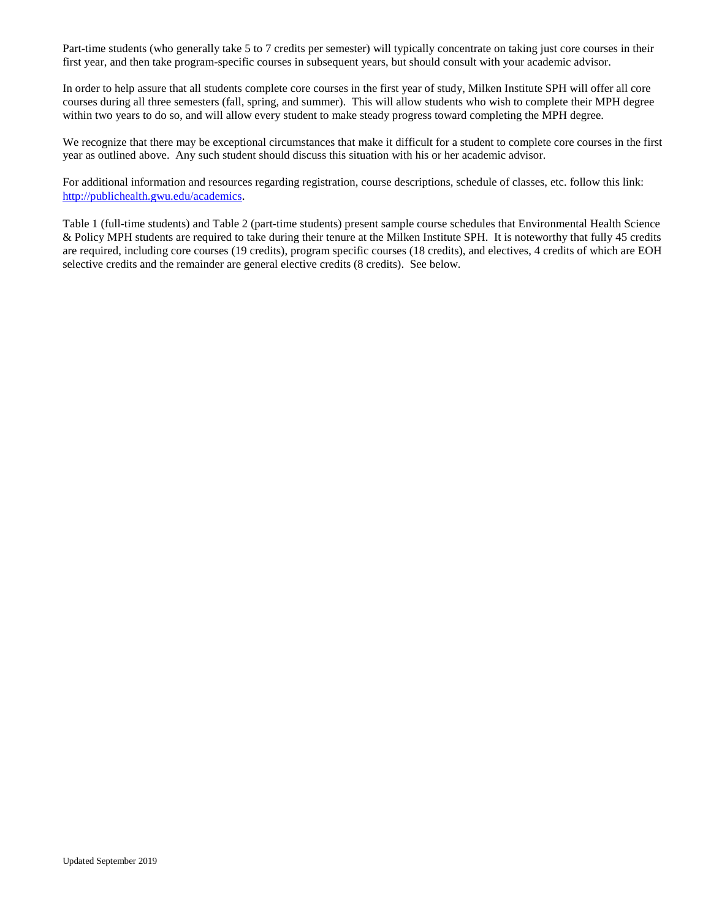Part-time students (who generally take 5 to 7 credits per semester) will typically concentrate on taking just core courses in their first year, and then take program-specific courses in subsequent years, but should consult with your academic advisor.

In order to help assure that all students complete core courses in the first year of study, Milken Institute SPH will offer all core courses during all three semesters (fall, spring, and summer). This will allow students who wish to complete their MPH degree within two years to do so, and will allow every student to make steady progress toward completing the MPH degree.

We recognize that there may be exceptional circumstances that make it difficult for a student to complete core courses in the first year as outlined above. Any such student should discuss this situation with his or her academic advisor.

For additional information and resources regarding registration, course descriptions, schedule of classes, etc. follow this link: [http://publichealth.gwu.edu/academics.](http://publichealth.gwu.edu/academics)

Table 1 (full-time students) and Table 2 (part-time students) present sample course schedules that Environmental Health Science & Policy MPH students are required to take during their tenure at the Milken Institute SPH. It is noteworthy that fully 45 credits are required, including core courses (19 credits), program specific courses (18 credits), and electives, 4 credits of which are EOH selective credits and the remainder are general elective credits (8 credits). See below.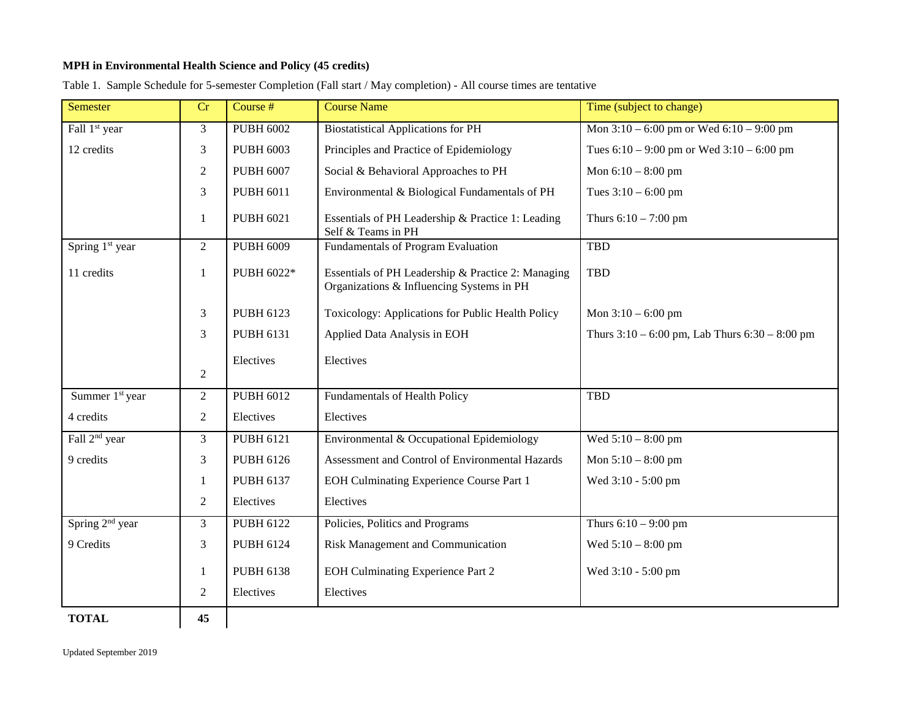### **MPH in Environmental Health Science and Policy (45 credits)**

| <b>Semester</b>             | Cr             | Course #         | <b>Course Name</b>                                                                              | Time (subject to change)                           |
|-----------------------------|----------------|------------------|-------------------------------------------------------------------------------------------------|----------------------------------------------------|
| Fall 1 <sup>st</sup> year   | 3              | <b>PUBH 6002</b> | <b>Biostatistical Applications for PH</b>                                                       | Mon $3:10 - 6:00$ pm or Wed $6:10 - 9:00$ pm       |
| 12 credits                  | 3              | <b>PUBH 6003</b> | Principles and Practice of Epidemiology                                                         | Tues $6:10 - 9:00$ pm or Wed $3:10 - 6:00$ pm      |
|                             | $\mathfrak{2}$ | <b>PUBH 6007</b> | Social & Behavioral Approaches to PH                                                            | Mon $6:10 - 8:00$ pm                               |
|                             | 3              | <b>PUBH 6011</b> | Environmental & Biological Fundamentals of PH                                                   | Tues $3:10 - 6:00$ pm                              |
|                             | 1              | <b>PUBH 6021</b> | Essentials of PH Leadership & Practice 1: Leading<br>Self & Teams in PH                         | Thurs $6:10 - 7:00$ pm                             |
| Spring 1 <sup>st</sup> year | $\overline{2}$ | <b>PUBH 6009</b> | <b>Fundamentals of Program Evaluation</b>                                                       | <b>TBD</b>                                         |
| 11 credits                  | 1              | PUBH 6022*       | Essentials of PH Leadership & Practice 2: Managing<br>Organizations & Influencing Systems in PH | <b>TBD</b>                                         |
|                             | 3              | <b>PUBH 6123</b> | Toxicology: Applications for Public Health Policy                                               | Mon $3:10 - 6:00$ pm                               |
|                             | 3              | <b>PUBH 6131</b> | Applied Data Analysis in EOH                                                                    | Thurs $3:10 - 6:00$ pm, Lab Thurs $6:30 - 8:00$ pm |
|                             |                | Electives        | Electives                                                                                       |                                                    |
|                             | $\overline{2}$ |                  |                                                                                                 |                                                    |
| Summer 1 <sup>st</sup> year | $\overline{2}$ | <b>PUBH 6012</b> | Fundamentals of Health Policy                                                                   | TBD                                                |
| 4 credits                   | $\overline{2}$ | Electives        | Electives                                                                                       |                                                    |
| Fall 2 <sup>nd</sup> year   | 3              | <b>PUBH 6121</b> | Environmental & Occupational Epidemiology                                                       | Wed $5:10 - 8:00$ pm                               |
| 9 credits                   | 3              | <b>PUBH 6126</b> | Assessment and Control of Environmental Hazards                                                 | Mon $5:10 - 8:00$ pm                               |
|                             | 1              | <b>PUBH 6137</b> | EOH Culminating Experience Course Part 1                                                        | Wed 3:10 - 5:00 pm                                 |
|                             | $\overline{2}$ | Electives        | Electives                                                                                       |                                                    |
| Spring 2 <sup>nd</sup> year | 3              | <b>PUBH 6122</b> | Policies, Politics and Programs                                                                 | Thurs $6:10 - 9:00$ pm                             |
| 9 Credits                   | 3              | <b>PUBH 6124</b> | Risk Management and Communication                                                               | Wed $5:10 - 8:00$ pm                               |
|                             | 1              | <b>PUBH 6138</b> | <b>EOH Culminating Experience Part 2</b>                                                        | Wed 3:10 - 5:00 pm                                 |
|                             | $\overline{2}$ | Electives        | Electives                                                                                       |                                                    |
| <b>TOTAL</b>                | 45             |                  |                                                                                                 |                                                    |

Table 1. Sample Schedule for 5-semester Completion (Fall start / May completion) - All course times are tentative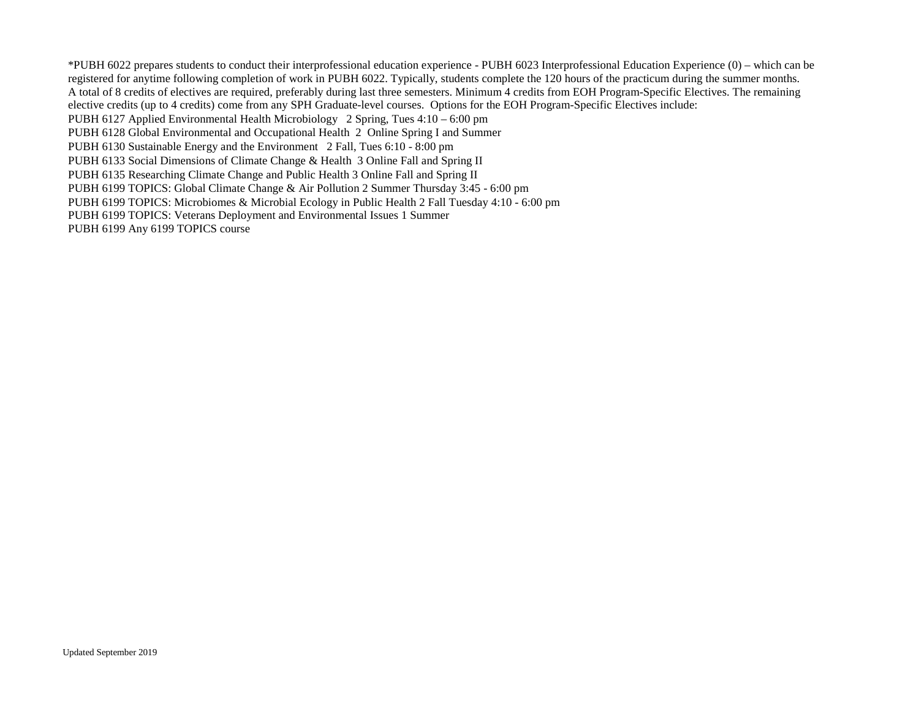\*PUBH 6022 prepares students to conduct their interprofessional education experience - PUBH 6023 Interprofessional Education Experience (0) – which can be registered for anytime following completion of work in PUBH 6022. Typically, students complete the 120 hours of the practicum during the summer months. A total of 8 credits of electives are required, preferably during last three semesters. Minimum 4 credits from EOH Program-Specific Electives. The remaining elective credits (up to 4 credits) come from any SPH Graduate-level courses. Options for the EOH Program-Specific Electives include:

PUBH 6127 Applied Environmental Health Microbiology 2 Spring, Tues 4:10 – 6:00 pm

PUBH 6128 Global Environmental and Occupational Health 2 Online Spring I and Summer

PUBH 6130 Sustainable Energy and the Environment 2 Fall, Tues 6:10 - 8:00 pm

PUBH 6133 Social Dimensions of Climate Change & Health 3 Online Fall and Spring II

PUBH 6135 Researching Climate Change and Public Health 3 Online Fall and Spring II

PUBH 6199 TOPICS: Global Climate Change & Air Pollution 2 Summer Thursday 3:45 - 6:00 pm

PUBH 6199 TOPICS: Microbiomes & Microbial Ecology in Public Health 2 Fall Tuesday 4:10 - 6:00 pm

PUBH 6199 TOPICS: Veterans Deployment and Environmental Issues 1 Summer

PUBH 6199 Any 6199 TOPICS course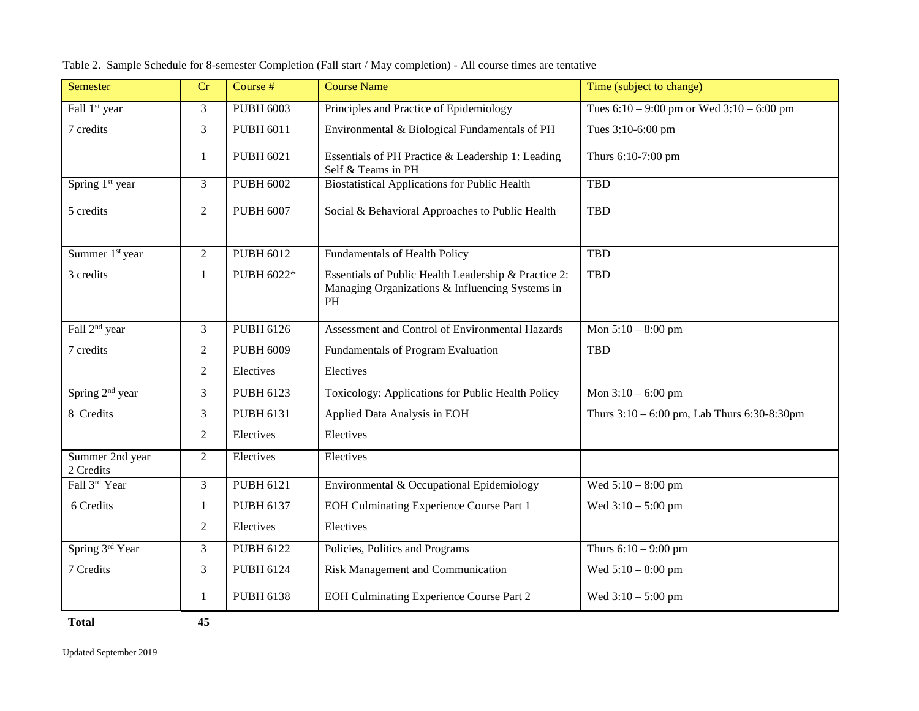| Semester                     | Cr             | Course #         | <b>Course Name</b>                                                                                            | Time (subject to change)                         |
|------------------------------|----------------|------------------|---------------------------------------------------------------------------------------------------------------|--------------------------------------------------|
| Fall 1 <sup>st</sup> year    | 3              | <b>PUBH 6003</b> | Principles and Practice of Epidemiology                                                                       | Tues $6:10 - 9:00$ pm or Wed $3:10 - 6:00$ pm    |
| 7 credits                    | 3              | <b>PUBH 6011</b> | Environmental & Biological Fundamentals of PH                                                                 | Tues 3:10-6:00 pm                                |
|                              | 1              | <b>PUBH 6021</b> | Essentials of PH Practice & Leadership 1: Leading<br>Self & Teams in PH                                       | Thurs 6:10-7:00 pm                               |
| Spring 1 <sup>st</sup> year  | $\overline{3}$ | <b>PUBH 6002</b> | <b>Biostatistical Applications for Public Health</b>                                                          | <b>TBD</b>                                       |
| 5 credits                    | $\overline{2}$ | <b>PUBH 6007</b> | Social & Behavioral Approaches to Public Health                                                               | <b>TBD</b>                                       |
| Summer 1 <sup>st</sup> year  | $\overline{2}$ | <b>PUBH 6012</b> | <b>Fundamentals of Health Policy</b>                                                                          | <b>TBD</b>                                       |
| 3 credits                    | $\mathbf{1}$   | PUBH 6022*       | Essentials of Public Health Leadership & Practice 2:<br>Managing Organizations & Influencing Systems in<br>PH | <b>TBD</b>                                       |
| Fall 2 <sup>nd</sup> year    | 3              | <b>PUBH 6126</b> | Assessment and Control of Environmental Hazards                                                               | Mon $5:10 - 8:00$ pm                             |
| 7 credits                    | $\overline{2}$ | <b>PUBH 6009</b> | Fundamentals of Program Evaluation                                                                            | <b>TBD</b>                                       |
|                              | $\overline{2}$ | Electives        | Electives                                                                                                     |                                                  |
| Spring 2 <sup>nd</sup> year  | $\overline{3}$ | <b>PUBH 6123</b> | Toxicology: Applications for Public Health Policy                                                             | Mon $3:10 - 6:00$ pm                             |
| 8 Credits                    | 3              | <b>PUBH 6131</b> | Applied Data Analysis in EOH                                                                                  | Thurs $3:10 - 6:00$ pm, Lab Thurs $6:30-8:30$ pm |
|                              | $\overline{2}$ | Electives        | Electives                                                                                                     |                                                  |
| Summer 2nd year<br>2 Credits | $\overline{2}$ | Electives        | Electives                                                                                                     |                                                  |
| Fall 3rd Year                | 3              | <b>PUBH 6121</b> | Environmental & Occupational Epidemiology                                                                     | Wed $5:10 - 8:00$ pm                             |
| 6 Credits                    | $\mathbf{1}$   | <b>PUBH 6137</b> | EOH Culminating Experience Course Part 1                                                                      | Wed $3:10 - 5:00$ pm                             |
|                              | $\overline{c}$ | Electives        | Electives                                                                                                     |                                                  |
| Spring 3rd Year              | 3              | <b>PUBH 6122</b> | Policies, Politics and Programs                                                                               | Thurs $6:10 - 9:00$ pm                           |
| 7 Credits                    | 3              | <b>PUBH 6124</b> | Risk Management and Communication                                                                             | Wed $5:10 - 8:00$ pm                             |
|                              | 1              | <b>PUBH 6138</b> | EOH Culminating Experience Course Part 2                                                                      | Wed $3:10 - 5:00$ pm                             |
| <b>Total</b>                 | 45             |                  |                                                                                                               |                                                  |

Table 2. Sample Schedule for 8-semester Completion (Fall start / May completion) - All course times are tentative

Updated September 2019